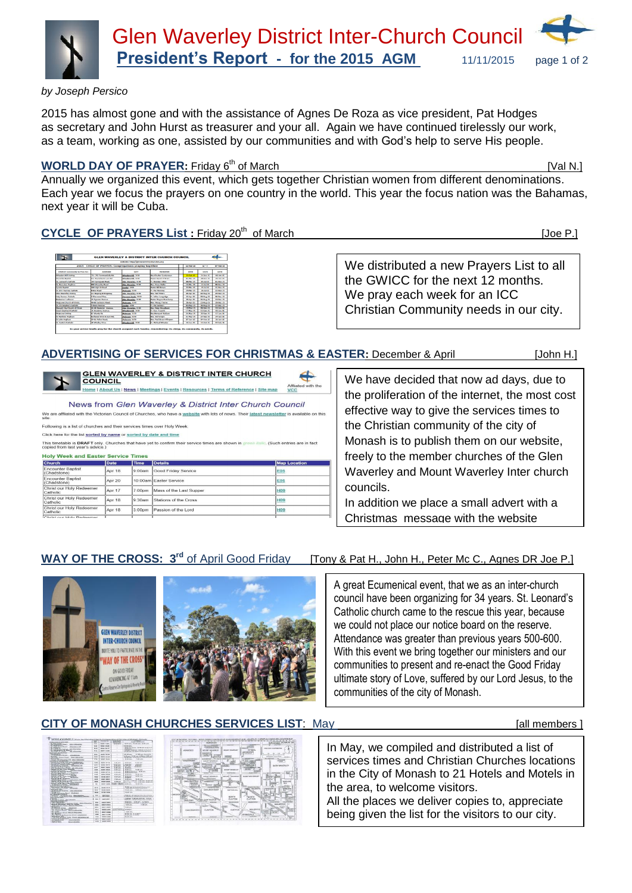

*by Joseph Persico* 

2015 has almost gone and with the assistance of Agnes De Roza as vice president, Pat Hodges as secretary and John Hurst as treasurer and your all. Again we have continued tirelessly our work, as a team, working as one, assisted by our communities and with God's help to serve His people.

# **WORLD DAY OF PRAYER:** Friday 6<sup>th</sup> of March **[Val N.]** [Val N.]

Annually we organized this event, which gets together Christian women from different denominations. Each year we focus the prayers on one country in the world. This year the focus nation was the Bahamas, next year it will be Cuba.

# CYCLE OF PRAYERS List : Friday 20<sup>th</sup> of March [Joe P.]

|                                          |                                                      | september 5 Hand Category providers happines are |                                     |                           |                             |                                |
|------------------------------------------|------------------------------------------------------|--------------------------------------------------|-------------------------------------|---------------------------|-----------------------------|--------------------------------|
|                                          | 2015 CYCLE OF PRAYER: Congregations praying together |                                                  |                                     | <b>STANDARD</b>           | <b>Box code</b>             | 07-Poli-14                     |
| <b>CARLING'S COMMUNISTS by From San-</b> | ACCORDED                                             | <b>CETT</b>                                      | <b>MELBERT BAR</b>                  | <b>DATE</b>               | <b>DATE</b>                 | <b>CALLS:</b>                  |
| Wheelers Hill Uniting                    | Pic. Pit Formsatish Rd.                              | <b>Massive Hill, 2050</b>                        | <b>Rev/Durks Sundarenzo</b>         | <b><i>Richards</i> ES</b> | 24-3an-15                   | 1649-15                        |
| <b>Waveford Banking</b>                  | On Harmley & Lam Rd                                  | Wheelers Hill, 3103                              | <b>Bushell Provided CV Bulletin</b> | 01-Mar-15                 | 28. Jun 15.                 | <b>Miller Mar</b>              |
| <b>The Associated Controller</b>         | <b>SER Seriesvale Road.</b>                          | <b>Clay Hungeley, 3152</b>                       | <b>Contractor Office</b>            | <b>GRAND 18</b>           | <b>ARCHIVE</b>              | At New YEAR                    |
| <b>No. Businessed Academic</b>           | <b>NOO Wasseley Freed</b>                            | <b>Line Hayesley, 7150</b>                       | <b>Mary Floore Mader</b>            | 15.05ac.15                | 12-3-019                    | <b><i><b>BR RAW 15</b></i></b> |
| <b>Syndial Buchist</b>                   | <b>Geo High St Road</b>                              | <b>Sended, 3150</b>                              | <b>Pustor Bill Brown</b>            | 22-Mar-15                 | 19-34-15                    | 15-Nov-15                      |
| St. John Warrant Catholic                | <b>Dolora Royal</b>                                  | Multimore, 3470                                  | <b>Pr. Dan Messager</b>             | 26.Harrist                | 26.34.95                    | 33.8pm 15                      |
| <b>Clay Humbry United</b>                | are Sources & Kingmann                               | they Mayerley, 2110                              | <b>Black State Products</b>         | <b>PELAWAY</b>            | 02-Apr 21                   | <b>TRANSPORT</b>               |
| <b>Holy Series Catalo</b>                | <b>School Street</b>                                 | <b>December Teach, 1113</b>                      | <b>Pr. Advertisership</b>           | 11-Apr 15                 | <b><i><b>BRAMER</b></i></b> | <b>PA-Fax: 15</b>              |
| <b>Redeemer Lutheran</b>                 | <b>J'S Courses Avenue</b>                            | <b>Den Harmley, 2150</b>                         | <b>Paster Wayne Muschams</b>        | <b>19-Apr-15</b>          | <b>IN-Aug IX</b>            | 13 Ont-15                      |
| Moderage Church of Christ.               | <b>All-All Turksman Brook</b>                        | Makeswee, 3170                                   | <b>Bay House Thomas</b>             | $36.4$ month.             | <b>Photograph</b>           | 26.0am.15                      |
| St. Christopher's Catholic               | <b>Change Associate</b>                              | <b>Gradul, 3150</b>                              | <b>Co. For Sections</b>             | 03.May.15                 | 30.Am 15                    | 33 Page 18                     |
| Manuel City Charles of Christ            | <b>At as Hunter Avenue</b>                           | the Hawke, 1198                                  | <b>Bar Ford Bookers</b>             | <b>10-May 11</b>          | <b>BE-Sec-15</b>            | <b>G.E. Ratured</b>            |
| <b>Cond Sherbard Calledo</b>             | <b>34 Academy Avenue</b>                             | <b>Massion ALL 2059</b>                          | <b>Co. Mart Thompson</b>            | 17-May-15                 | 13-Sep-15                   | 10-3-4 M                       |
| Multiplayer Girolding                    | <b>CO Munda St.</b>                                  | Maderson, 3170                                   | <b>Basilional Wallace</b>           | 24.86pc.15                | 20-Sep-15                   | 17.3m.06                       |
| <b>St Platform Anglican</b>              | <b>Columnal Patron &amp; Loom Rd.</b>                | Malayson, 3170                                   | <b>Base Seat Privates</b>           | 33 May 11                 | <b>TANADES</b>              | <b>TALIFICATE</b>              |
| <b>St Lake Analysis</b>                  | <b>Oh At Police Road.</b>                            | Multicrook, 3170                                 | they, Fuel Bruce (Himston)          | 87-3ch-15                 | 04/05/15                    | 31-3an-35                      |
| St. Austria Catholic                     | <b>48 Moder Drive</b>                                | <b>Information AAS</b> , 2010                    | Fr. Hichael Wheeler                 | 14-Jun-15                 | 11-00-15                    | 07-Feb 16                      |

We distributed a new Prayers List to all the GWICC for the next 12 months. We pray each week for an ICC Christian Community needs in our city.

#### **ADVERTISING OF SERVICES FOR CHRISTMAS & EASTER:** December & April[John H.]

EN WAVERLEY & DISTRICT INTER CHURCH COUNCIL Affliated with the ne | About Us | News | Me urces | Terms of Reference | Site map

News from Glen Waverley & District Inter Church Council affliated with the Victorian Council of Churches, who have a <u>website</u> with lots of news. Their <u>latest newsletter</u> is available o

Following is a list of churches and their services times over Holy Wee

Click here for the list sorted by name or sorted by date and time This timetable is DRAFT only. Churches that have yet to confirm their service times are shown in

| <b>Church</b>                           | <b>Date</b> | Time   | <b>Details</b>          | <b>Map Location</b> |
|-----------------------------------------|-------------|--------|-------------------------|---------------------|
| <b>Encounter Baptist</b><br>(Chadstone) | Apr 18      | 9:00am | Good Friday Service     | E05                 |
| <b>Encounter Baptist</b><br>(Chadstone) | Apr 20      |        | 10:00am Easter Service  | <b>E05</b>          |
| Christ our Holy Redeemer<br>Catholic    | Apr 17      | 7:00pm | Mass of the Last Supper | <b>H09</b>          |
| Christ our Holy Redeemer<br>Catholic    | Apr 18      | 9:30am | Stations of the Cross   | <b>H09</b>          |
| Christ our Holy Redeemer<br>Catholic    | Apr 18      | 3:00pm | Passion of the Lord     | <b>H09</b>          |
| Christ our Holy Redeemer                |             |        |                         |                     |

We have decided that now ad days, due to the proliferation of the internet, the most cost effective way to give the services times to the Christian community of the city of Monash is to publish them on our website, freely to the member churches of the Glen Waverley and Mount Waverley Inter church councils.

In addition we place a small advert with a Christmas message with the website

#### **WAY OF THE CROSS: 3<sup>rd</sup> of April Good Friday** <sup>rd</sup> of April Good Friday [Tony & Pat H., John H., Peter Mc C., Agnes DR Joe P.]

(Such entries are in fact



A great Ecumenical event, that we as an inter-church council have been organizing for 34 years. St. Leonard's Catholic church came to the rescue this year, because we could not place our notice board on the reserve. Attendance was greater than previous years 500-600. With this event we bring together our ministers and our communities to present and re-enact the Good Friday ultimate story of Love, suffered by our Lord Jesus, to the communities of the city of Monash.

### **CITY OF MONASH CHURCHES SERVICES LIST**: May **Example 10 and Service 20 and Service 20 and All members ]**

| a most to any provider cable.                                                                                                                                                                                                                                                              | <b>Walker</b>            | <b>Brighton War</b>        | <b>CONTRACT</b><br><b>EXHIBITE</b>                  | <b>SILENDO</b><br><b>MARK I MEMORINE</b>                                              |
|--------------------------------------------------------------------------------------------------------------------------------------------------------------------------------------------------------------------------------------------------------------------------------------------|--------------------------|----------------------------|-----------------------------------------------------|---------------------------------------------------------------------------------------|
| <b>IN.</b> Governmen.<br><b>Was placed by the country</b><br><b>Information Advertising</b>                                                                                                                                                                                                | <b>WINN</b>              | <b>NIGHT TUBA</b>          | <b>MODERN</b><br><b>HOPPER</b>                      | \$100,000, 700,000,000 - \$1,000,000 -                                                |
| <b>BU MARTIN'S</b><br>INFY-JUPP: Acces Phouse.<br><b><i><u>Information of dire</u></i></b>                                                                                                                                                                                                 | $-$                      | <b>ANALL CARDS</b>         |                                                     | and sixth some                                                                        |
| an wasan m<br><b>BU Campriso Avenue, AE Minester</b>                                                                                                                                                                                                                                       | 0.15                     | <b>BEAK BEST</b>           |                                                     | A 60 and found 10 AM and from \$140.<br>A life ave-                                   |
| <b>BY POLYGAN N ST. WAY</b><br>ad: stocomers<br>Sky High On Writer.                                                                                                                                                                                                                        | 0.54                     | <b>RAGIC INTER</b>         | ×                                                   | I hidden instituted \$40 per hour first.<br>109-906 AVR 401 MILES LIKE BATTLES LIEV.  |
| <b><i>AAFPAT FALIMTATE</i></b><br><b><i>STANDARDS</i></b>                                                                                                                                                                                                                                  | $\overline{a}$           | <b>SALE RAID</b>           | τ                                                   | 11.00 pm Accords<br>and and more.                                                     |
| Chemister<br>17. TV Marylet America<br><b>Tarylan</b>                                                                                                                                                                                                                                      |                          |                            |                                                     | A Mixed 18 Miles A March 1 81 cm                                                      |
| <b>TWO FROM DENNIS PENNIS</b><br><b>CIRIL MOVING</b>                                                                                                                                                                                                                                       | <b>CARD</b>              | point boxes                | ÷                                                   | 18 80 arts Gifferdoor & Vicknervann                                                   |
| Winner Mr.<br>Cold CO2 vera synca (PAX, GMain Milayaming)                                                                                                                                                                                                                                  | $rac{1}{2}$              | <b>NAME ABOVE</b>          | ×                                                   | de dode desert<br>Within provide                                                      |
| In a financial and company company<br>environment of electrical states that the statement of                                                                                                                                                                                               |                          |                            |                                                     |                                                                                       |
| 47 FOXERS CANY ROOK - LAMMAN EAST                                                                                                                                                                                                                                                          | <b>LANK</b>              | <b>NONE REEA</b>           | <b>King out</b><br><b>NAMES</b>                     | <b>TA BE ARE</b><br><b>Width Street</b><br><b>WANTED</b><br><b>Walker</b>             |
| <b>CONTRACT OF CONTRACT PROPERTY INCHES</b><br>he depositor degrees. All handers that                                                                                                                                                                                                      | <b>AGAIN</b>             | <b>HARR AREA</b>           | 6.09 610                                            | 11.86 p.m.<br>8.86 pm                                                                 |
| Parker of High Family) an annually                                                                                                                                                                                                                                                         | <b>GALL</b>              | <b>BAAT</b> GALLA          | Fill Add Auto<br>6.88.899                           | <b>KYAK</b><br>39.99 Av.<br>A are puts                                                |
| Harbor of East Mid- Barrows                                                                                                                                                                                                                                                                | A VE                     | <b>BARR SALA</b>           | <b>A-66 HWG</b>                                     | 11.00 pm<br>3.48 mm                                                                   |
| <b>A School and Contact Contact Contact Contact Contact Contact Contact Contact Contact Contact Contact Contact Contact Contact Contact Contact Contact Contact Contact Contact Contact Contact Contact Contact Contact Contact </b><br><b>WASHINGT BILLER</b><br>Walter of Basical Health |                          |                            |                                                     | KIND AND RESIDENCE. WE HAVE SURE                                                      |
| FB Milwritten Attack<br>Percent of the Chaintenance is                                                                                                                                                                                                                                     | 1484                     | <b>BOAR WITH</b>           | <b>B. Alle Avenue</b>                               | 8.86 percentation                                                                     |
| <b>Business Avenue</b><br><b>Zindia</b>                                                                                                                                                                                                                                                    | 1.44                     | <b><i>ROADS INSIDE</i></b> | 6,66,665                                            | <b>19.92 cm</b><br><b>B AR ANY</b>                                                    |
| Fourteen of Mt. Autor Washington<br><b>C. Primary Physics</b><br><b>AA-Airplan</b>                                                                                                                                                                                                         | <b>ACM</b>               | <b>BAAK NANT</b>           | \$1,000 pain                                        | <b><i>SA DO HALL</i></b><br><b>A MAY AND</b><br><b>A MARINE</b>                       |
| Flying, of M. Assistant<br><b>MANAGERITE AVE</b>                                                                                                                                                                                                                                           | e ve                     | <b>STATE BRAY</b>          | <b>T ARL AVA</b>                                    | A me auto<br><b>COLOR COM</b>                                                         |
| on means inco.<br>were determined a Proger, called Uklasmonth                                                                                                                                                                                                                              | <b>COL</b>               | <b>STATE BARB</b>          | 5.03.03                                             | widths. I be seen were not been and<br>you to be you will be you<br><b>Contractor</b> |
| Paradi of H. Mary Maurichill F.                                                                                                                                                                                                                                                            | m                        | <b>WHAT SIDE</b>           | <b>GRAY'S BEAM</b><br><b>EXEL SERVICE</b>           | can be way.<br><b>Built and</b>                                                       |
| Al Boronce Javes, Crockwood                                                                                                                                                                                                                                                                |                          |                            |                                                     |                                                                                       |
| that columns to be cleared. Absence and                                                                                                                                                                                                                                                    | <b>SESS</b>              | sans very                  | ×                                                   | 14 Million Administration Commissioners<br>A billions distances Capitalista           |
| <b>Bendiesely Video</b><br>At MOVEMENT Avenues, deach Missouring                                                                                                                                                                                                                           | <b>MAG</b>               | <b>SSAN GOOD</b>           |                                                     | <b>CRAN AWA</b><br><b>BATHER SHOWAGES</b>                                             |
| <b>Braziliana</b><br>40-80 Jacksons Road, Mulguego                                                                                                                                                                                                                                         | <b>Mark</b>              | ares seni-                 |                                                     | <b><i>DELIVERADO</i></b>                                                              |
| <b>CUTEBRIAN EPS PRIVE</b>                                                                                                                                                                                                                                                                 | <b>MARK</b>              | <b>SHIPS WANN</b>          |                                                     | The ball was "left thanking "most three models for                                    |
| Property of Schedulers, Stationers,                                                                                                                                                                                                                                                        |                          | <b>NETS BEAR</b>           |                                                     | FEAR are, or Posta Purincipality Insure                                               |
| 92222<br>ANA Pays 24 Player, climat Managiner                                                                                                                                                                                                                                              | $\overline{\phantom{m}}$ | <b>HEAR CARDS</b>          | ÷                                                   | \$10 am 10 Ad am \$100 per measured<br>A-88 pat., it also happy from hymanity         |
| <b>EN FRANCIS CARDINAL PROD.</b>                                                                                                                                                                                                                                                           |                          |                            |                                                     | Kildram, Kildram, FCOOMS,                                                             |
| Chen Wayanning J. (hugong Athair, dalas Manaichie)                                                                                                                                                                                                                                         | <b>ALCOHOL</b>           | NAME SEAR                  |                                                     | A.600 pers. In the ext and a set of the project of the lots.                          |
| Movers Weispieler David St. Woork<br>498 HAVY TV (Wing), Many Company                                                                                                                                                                                                                      | <b>First</b>             | <b><i>SAAT ETSE</i></b>    |                                                     | $-0.000000$<br><b>Building Auto</b> , Children                                        |
| <b>Madeirace</b><br>۰<br>Ad Warriotal Harvard<br>ASSISTE                                                                                                                                                                                                                                   | <b>MAY</b>               | <b>ARAS MINER</b>          | <b>COLLECT</b>                                      | <b>9.00 cm</b>                                                                        |
| <b>BE Inches W Mt. Winnerham</b><br>Copyright Homes, Markinson                                                                                                                                                                                                                             | <b>MA4</b>               | seas costs                 | <b>NAMES</b><br><b>Contract Of Corp. 49-8-8-000</b> |                                                                                       |
| 25 10 There were award minimum                                                                                                                                                                                                                                                             | $m = n$                  | <b>NORTH BANK</b>          | $\sim$                                              | <b>KIND AVE</b>                                                                       |
| <b>MA MAIN'S</b><br>FOX MARCO & MAXWARE SANNA CAMPANINI                                                                                                                                                                                                                                    | <b>THE</b>               | <b>ANGLE MILAN</b>         |                                                     | 14.00 ppl. 6. English<br>\$1.50 per A. From                                           |
| <b>With contract of Contract</b><br>1964 FWR Purchased Courty, Phoend, Michael And                                                                                                                                                                                                         | man                      | <b>BONA GASS</b>           | Ξ                                                   | <b>Address</b>                                                                        |
| <b>TRIALLY LETTER SHARINGER</b>                                                                                                                                                                                                                                                            | <b>ALL 1</b>             | $-0.001$ $0.001$           | w                                                   |                                                                                       |
| <b>10 Scottist Model</b><br>Mount discussed<br><b><i>SAFERDA</i></b>                                                                                                                                                                                                                       | <b>ALLA</b>              | <b>AGAA CARS</b>           | T.                                                  | z                                                                                     |
| <b>Windows Allenged State</b><br>the property and control of                                                                                                                                                                                                                               |                          |                            |                                                     |                                                                                       |



In May, we compiled and distributed a list of services times and Christian Churches locations in the City of Monash to 21 Hotels and Motels in the area, to welcome visitors.

All the places we deliver copies to, appreciate being given the list for the visitors to our city.